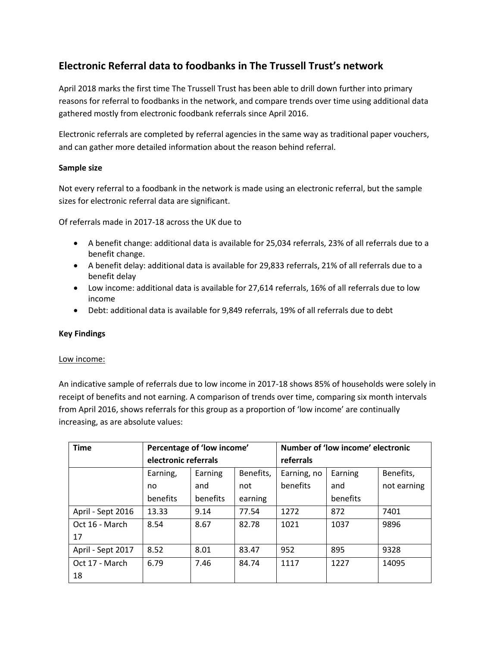# **Electronic Referral data to foodbanks in The Trussell Trust's network**

April 2018 marks the first time The Trussell Trust has been able to drill down further into primary reasons for referral to foodbanks in the network, and compare trends over time using additional data gathered mostly from electronic foodbank referrals since April 2016.

Electronic referrals are completed by referral agencies in the same way as traditional paper vouchers, and can gather more detailed information about the reason behind referral.

# **Sample size**

Not every referral to a foodbank in the network is made using an electronic referral, but the sample sizes for electronic referral data are significant.

Of referrals made in 2017-18 across the UK due to

- A benefit change: additional data is available for 25,034 referrals, 23% of all referrals due to a benefit change.
- A benefit delay: additional data is available for 29,833 referrals, 21% of all referrals due to a benefit delay
- Low income: additional data is available for 27,614 referrals, 16% of all referrals due to low income
- Debt: additional data is available for 9,849 referrals, 19% of all referrals due to debt

# **Key Findings**

#### Low income:

An indicative sample of referrals due to low income in 2017-18 shows 85% of households were solely in receipt of benefits and not earning. A comparison of trends over time, comparing six month intervals from April 2016, shows referrals for this group as a proportion of 'low income' are continually increasing, as are absolute values:

| <b>Time</b>       | Percentage of 'low income' |          |           | Number of 'low income' electronic |          |             |
|-------------------|----------------------------|----------|-----------|-----------------------------------|----------|-------------|
|                   | electronic referrals       |          |           | referrals                         |          |             |
|                   | Earning,                   | Earning  | Benefits, | Earning, no                       | Earning  | Benefits,   |
|                   | no                         | and      | not       | benefits                          | and      | not earning |
|                   | benefits                   | benefits | earning   |                                   | benefits |             |
| April - Sept 2016 | 13.33                      | 9.14     | 77.54     | 1272                              | 872      | 7401        |
| Oct 16 - March    | 8.54                       | 8.67     | 82.78     | 1021                              | 1037     | 9896        |
| 17                |                            |          |           |                                   |          |             |
| April - Sept 2017 | 8.52                       | 8.01     | 83.47     | 952                               | 895      | 9328        |
| Oct 17 - March    | 6.79                       | 7.46     | 84.74     | 1117                              | 1227     | 14095       |
| 18                |                            |          |           |                                   |          |             |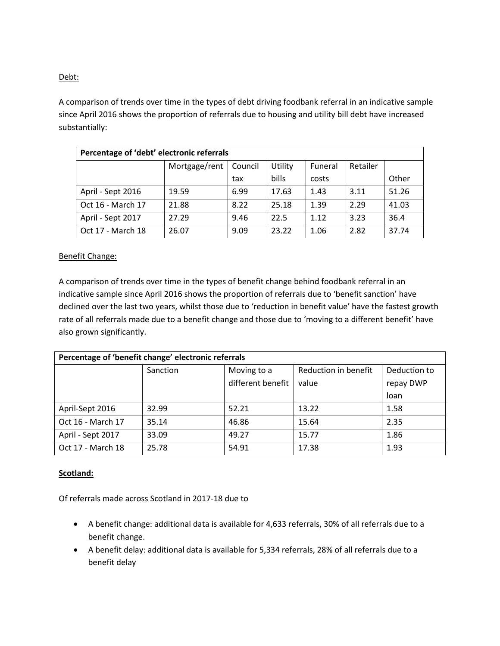## Debt:

A comparison of trends over time in the types of debt driving foodbank referral in an indicative sample since April 2016 shows the proportion of referrals due to housing and utility bill debt have increased substantially:

| Percentage of 'debt' electronic referrals |               |         |              |         |          |       |  |  |  |
|-------------------------------------------|---------------|---------|--------------|---------|----------|-------|--|--|--|
|                                           | Mortgage/rent | Council | Utility      | Funeral | Retailer |       |  |  |  |
|                                           |               | tax     | <b>bills</b> | costs   |          | Other |  |  |  |
| April - Sept 2016                         | 19.59         | 6.99    | 17.63        | 1.43    | 3.11     | 51.26 |  |  |  |
| Oct 16 - March 17                         | 21.88         | 8.22    | 25.18        | 1.39    | 2.29     | 41.03 |  |  |  |
| April - Sept 2017                         | 27.29         | 9.46    | 22.5         | 1.12    | 3.23     | 36.4  |  |  |  |
| Oct 17 - March 18                         | 26.07         | 9.09    | 23.22        | 1.06    | 2.82     | 37.74 |  |  |  |

### Benefit Change:

A comparison of trends over time in the types of benefit change behind foodbank referral in an indicative sample since April 2016 shows the proportion of referrals due to 'benefit sanction' have declined over the last two years, whilst those due to 'reduction in benefit value' have the fastest growth rate of all referrals made due to a benefit change and those due to 'moving to a different benefit' have also grown significantly.

| Percentage of 'benefit change' electronic referrals |          |                   |                      |              |  |  |  |  |  |
|-----------------------------------------------------|----------|-------------------|----------------------|--------------|--|--|--|--|--|
|                                                     | Sanction | Moving to a       | Reduction in benefit | Deduction to |  |  |  |  |  |
|                                                     |          | different benefit | value                | repay DWP    |  |  |  |  |  |
|                                                     |          |                   |                      | loan         |  |  |  |  |  |
| April-Sept 2016                                     | 32.99    | 52.21             | 13.22                | 1.58         |  |  |  |  |  |
| Oct 16 - March 17                                   | 35.14    | 46.86             | 15.64                | 2.35         |  |  |  |  |  |
| April - Sept 2017                                   | 33.09    | 49.27             | 15.77                | 1.86         |  |  |  |  |  |
| Oct 17 - March 18                                   | 25.78    | 54.91             | 17.38                | 1.93         |  |  |  |  |  |

#### **Scotland:**

Of referrals made across Scotland in 2017-18 due to

- A benefit change: additional data is available for 4,633 referrals, 30% of all referrals due to a benefit change.
- A benefit delay: additional data is available for 5,334 referrals, 28% of all referrals due to a benefit delay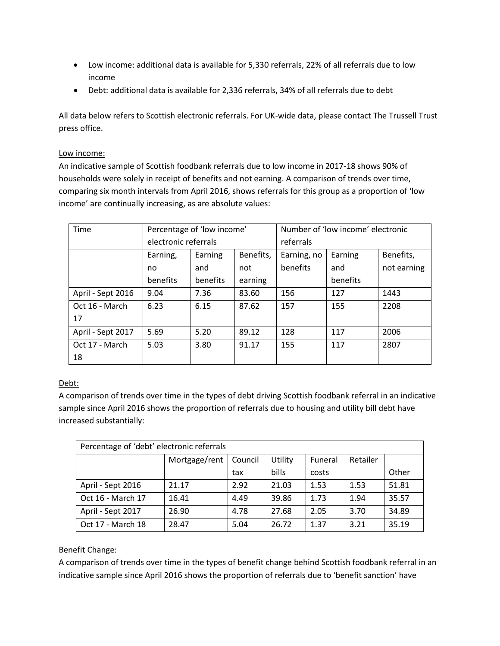- Low income: additional data is available for 5,330 referrals, 22% of all referrals due to low income
- Debt: additional data is available for 2,336 referrals, 34% of all referrals due to debt

All data below refers to Scottish electronic referrals. For UK-wide data, please contact The Trussell Trust press office.

# Low income:

An indicative sample of Scottish foodbank referrals due to low income in 2017-18 shows 90% of households were solely in receipt of benefits and not earning. A comparison of trends over time, comparing six month intervals from April 2016, shows referrals for this group as a proportion of 'low income' are continually increasing, as are absolute values:

| <b>Time</b>       | Percentage of 'low income' |          |           | Number of 'low income' electronic |          |             |
|-------------------|----------------------------|----------|-----------|-----------------------------------|----------|-------------|
|                   | electronic referrals       |          |           | referrals                         |          |             |
|                   | Earning,                   | Earning  | Benefits, | Earning, no                       | Earning  | Benefits,   |
|                   | no                         | and      | not       | benefits                          | and      | not earning |
|                   | benefits                   | benefits | earning   |                                   | benefits |             |
| April - Sept 2016 | 9.04                       | 7.36     | 83.60     | 156                               | 127      | 1443        |
| Oct 16 - March    | 6.23                       | 6.15     | 87.62     | 157                               | 155      | 2208        |
| 17                |                            |          |           |                                   |          |             |
| April - Sept 2017 | 5.69                       | 5.20     | 89.12     | 128                               | 117      | 2006        |
| Oct 17 - March    | 5.03                       | 3.80     | 91.17     | 155                               | 117      | 2807        |
| 18                |                            |          |           |                                   |          |             |

# Debt:

A comparison of trends over time in the types of debt driving Scottish foodbank referral in an indicative sample since April 2016 shows the proportion of referrals due to housing and utility bill debt have increased substantially:

| Percentage of 'debt' electronic referrals |               |         |              |         |          |       |  |  |
|-------------------------------------------|---------------|---------|--------------|---------|----------|-------|--|--|
|                                           | Mortgage/rent | Council | Utility      | Funeral | Retailer |       |  |  |
|                                           |               | tax     | <b>bills</b> | costs   |          | Other |  |  |
| April - Sept 2016                         | 21.17         | 2.92    | 21.03        | 1.53    | 1.53     | 51.81 |  |  |
| Oct 16 - March 17                         | 16.41         | 4.49    | 39.86        | 1.73    | 1.94     | 35.57 |  |  |
| April - Sept 2017                         | 26.90         | 4.78    | 27.68        | 2.05    | 3.70     | 34.89 |  |  |
| Oct 17 - March 18                         | 28.47         | 5.04    | 26.72        | 1.37    | 3.21     | 35.19 |  |  |

# Benefit Change:

A comparison of trends over time in the types of benefit change behind Scottish foodbank referral in an indicative sample since April 2016 shows the proportion of referrals due to 'benefit sanction' have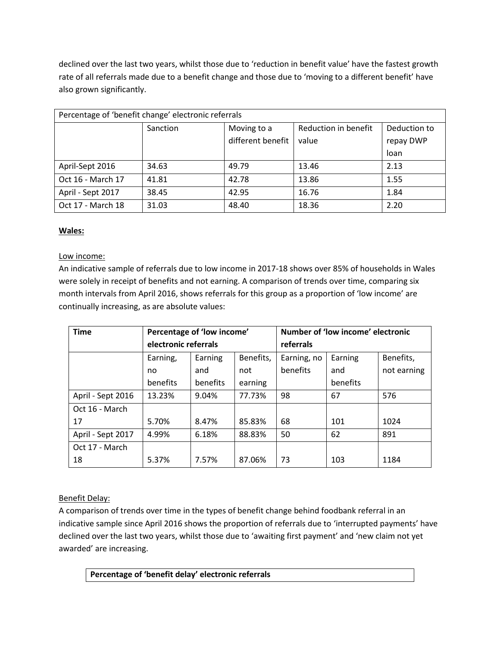declined over the last two years, whilst those due to 'reduction in benefit value' have the fastest growth rate of all referrals made due to a benefit change and those due to 'moving to a different benefit' have also grown significantly.

| Percentage of 'benefit change' electronic referrals |          |                   |                      |              |  |  |  |  |
|-----------------------------------------------------|----------|-------------------|----------------------|--------------|--|--|--|--|
|                                                     | Sanction | Moving to a       | Reduction in benefit | Deduction to |  |  |  |  |
|                                                     |          | different benefit | value                | repay DWP    |  |  |  |  |
|                                                     |          |                   |                      | loan         |  |  |  |  |
| April-Sept 2016                                     | 34.63    | 49.79             | 13.46                | 2.13         |  |  |  |  |
| Oct 16 - March 17                                   | 41.81    | 42.78             | 13.86                | 1.55         |  |  |  |  |
| April - Sept 2017                                   | 38.45    | 42.95             | 16.76                | 1.84         |  |  |  |  |
| Oct 17 - March 18                                   | 31.03    | 48.40             | 18.36                | 2.20         |  |  |  |  |

# **Wales:**

### Low income:

An indicative sample of referrals due to low income in 2017-18 shows over 85% of households in Wales were solely in receipt of benefits and not earning. A comparison of trends over time, comparing six month intervals from April 2016, shows referrals for this group as a proportion of 'low income' are continually increasing, as are absolute values:

| <b>Time</b>       | Percentage of 'low income' |          |           | Number of 'low income' electronic |          |             |
|-------------------|----------------------------|----------|-----------|-----------------------------------|----------|-------------|
|                   | electronic referrals       |          |           | referrals                         |          |             |
|                   | Earning,                   | Earning  | Benefits, | Earning, no                       | Earning  | Benefits,   |
|                   | no                         | and      | not       | benefits                          | and      | not earning |
|                   | benefits                   | benefits | earning   |                                   | benefits |             |
| April - Sept 2016 | 13.23%                     | 9.04%    | 77.73%    | 98                                | 67       | 576         |
| Oct 16 - March    |                            |          |           |                                   |          |             |
| 17                | 5.70%                      | 8.47%    | 85.83%    | 68                                | 101      | 1024        |
| April - Sept 2017 | 4.99%                      | 6.18%    | 88.83%    | 50                                | 62       | 891         |
| Oct 17 - March    |                            |          |           |                                   |          |             |
| 18                | 5.37%                      | 7.57%    | 87.06%    | 73                                | 103      | 1184        |

# Benefit Delay:

A comparison of trends over time in the types of benefit change behind foodbank referral in an indicative sample since April 2016 shows the proportion of referrals due to 'interrupted payments' have declined over the last two years, whilst those due to 'awaiting first payment' and 'new claim not yet awarded' are increasing.

**Percentage of 'benefit delay' electronic referrals**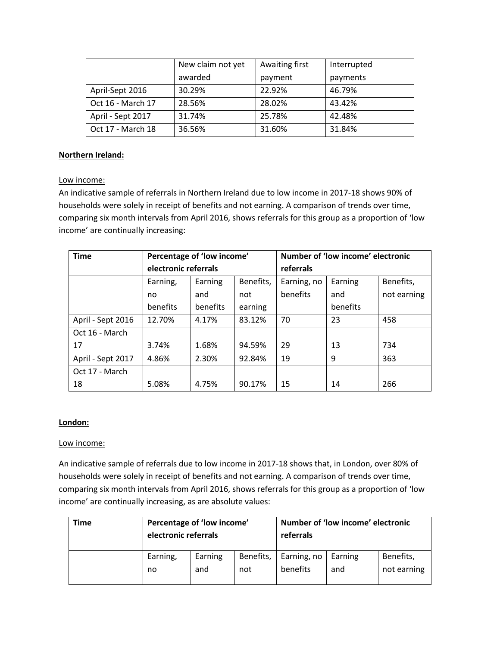|                   | New claim not yet | Awaiting first | Interrupted |
|-------------------|-------------------|----------------|-------------|
|                   | awarded           | payment        | payments    |
| April-Sept 2016   | 30.29%            | 22.92%         | 46.79%      |
| Oct 16 - March 17 | 28.56%            | 28.02%         | 43.42%      |
| April - Sept 2017 | 31.74%            | 25.78%         | 42.48%      |
| Oct 17 - March 18 | 36.56%            | 31.60%         | 31.84%      |

## **Northern Ireland:**

#### Low income:

An indicative sample of referrals in Northern Ireland due to low income in 2017-18 shows 90% of households were solely in receipt of benefits and not earning. A comparison of trends over time, comparing six month intervals from April 2016, shows referrals for this group as a proportion of 'low income' are continually increasing:

| <b>Time</b>       | Percentage of 'low income' |          |           |             | Number of 'low income' electronic |             |
|-------------------|----------------------------|----------|-----------|-------------|-----------------------------------|-------------|
|                   | electronic referrals       |          |           | referrals   |                                   |             |
|                   | Earning,                   | Earning  | Benefits, | Earning, no | Earning                           | Benefits,   |
|                   | no                         | and      | not       | benefits    | and                               | not earning |
|                   | benefits                   | benefits | earning   |             | benefits                          |             |
| April - Sept 2016 | 12.70%                     | 4.17%    | 83.12%    | 70          | 23                                | 458         |
| Oct 16 - March    |                            |          |           |             |                                   |             |
| 17                | 3.74%                      | 1.68%    | 94.59%    | 29          | 13                                | 734         |
| April - Sept 2017 | 4.86%                      | 2.30%    | 92.84%    | 19          | 9                                 | 363         |
| Oct 17 - March    |                            |          |           |             |                                   |             |
| 18                | 5.08%                      | 4.75%    | 90.17%    | 15          | 14                                | 266         |

#### **London:**

#### Low income:

An indicative sample of referrals due to low income in 2017-18 shows that, in London, over 80% of households were solely in receipt of benefits and not earning. A comparison of trends over time, comparing six month intervals from April 2016, shows referrals for this group as a proportion of 'low income' are continually increasing, as are absolute values:

| Time | Percentage of 'low income'<br>electronic referrals |         |           | Number of 'low income' electronic<br>referrals |         |             |
|------|----------------------------------------------------|---------|-----------|------------------------------------------------|---------|-------------|
|      | Earning,                                           | Earning | Benefits, | Earning, no                                    | Earning | Benefits,   |
|      | no                                                 | and     | not       | benefits                                       | and     | not earning |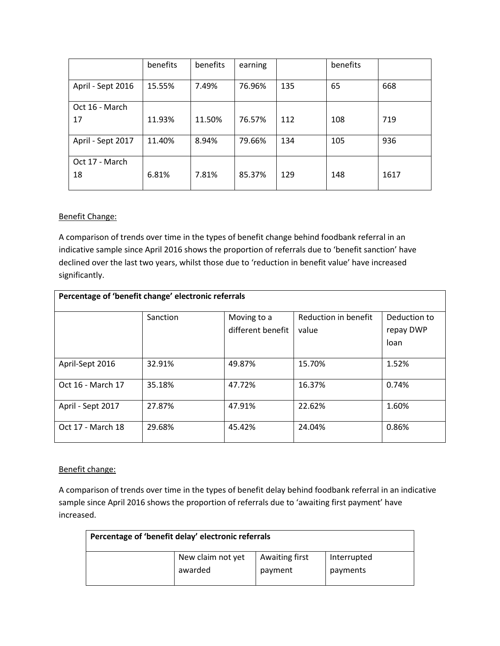|                   | benefits | benefits | earning |     | benefits |      |
|-------------------|----------|----------|---------|-----|----------|------|
| April - Sept 2016 | 15.55%   | 7.49%    | 76.96%  | 135 | 65       | 668  |
| Oct 16 - March    |          |          |         |     |          |      |
| 17                | 11.93%   | 11.50%   | 76.57%  | 112 | 108      | 719  |
| April - Sept 2017 | 11.40%   | 8.94%    | 79.66%  | 134 | 105      | 936  |
| Oct 17 - March    |          |          |         |     |          |      |
| 18                | 6.81%    | 7.81%    | 85.37%  | 129 | 148      | 1617 |

#### Benefit Change:

A comparison of trends over time in the types of benefit change behind foodbank referral in an indicative sample since April 2016 shows the proportion of referrals due to 'benefit sanction' have declined over the last two years, whilst those due to 'reduction in benefit value' have increased significantly.

| Percentage of 'benefit change' electronic referrals |          |                   |                      |              |  |  |  |  |  |
|-----------------------------------------------------|----------|-------------------|----------------------|--------------|--|--|--|--|--|
|                                                     | Sanction | Moving to a       | Reduction in benefit | Deduction to |  |  |  |  |  |
|                                                     |          | different benefit | value                | repay DWP    |  |  |  |  |  |
|                                                     |          |                   |                      | loan         |  |  |  |  |  |
|                                                     |          |                   |                      |              |  |  |  |  |  |
| April-Sept 2016                                     | 32.91%   | 49.87%            | 15.70%               | 1.52%        |  |  |  |  |  |
| Oct 16 - March 17                                   | 35.18%   | 47.72%            | 16.37%               | 0.74%        |  |  |  |  |  |
| April - Sept 2017                                   | 27.87%   | 47.91%            | 22.62%               | 1.60%        |  |  |  |  |  |
| Oct 17 - March 18                                   | 29.68%   | 45.42%            | 24.04%               | 0.86%        |  |  |  |  |  |

Benefit change:

A comparison of trends over time in the types of benefit delay behind foodbank referral in an indicative sample since April 2016 shows the proportion of referrals due to 'awaiting first payment' have increased.

| Percentage of 'benefit delay' electronic referrals |                   |                |             |  |
|----------------------------------------------------|-------------------|----------------|-------------|--|
|                                                    | New claim not yet | Awaiting first | Interrupted |  |
|                                                    | awarded           | payment        | payments    |  |